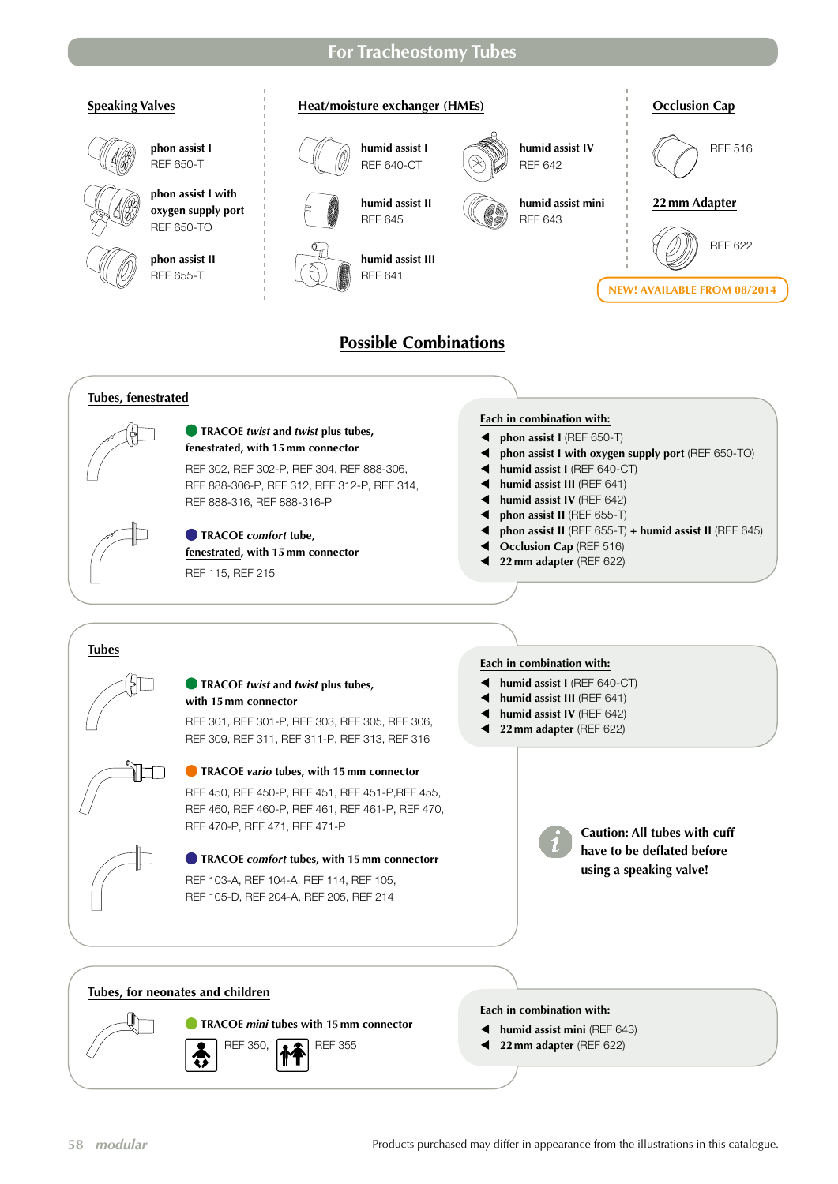## **For Tracheostomy Tubes**



- **TRACOE** *mini* **tubes with 15mm connector** REF 350, **A** REF 355 €
- **Each in combination with:**
- **4** humid assist mini (REF 643)
- 1 **22 mm adapter** (REF 622)